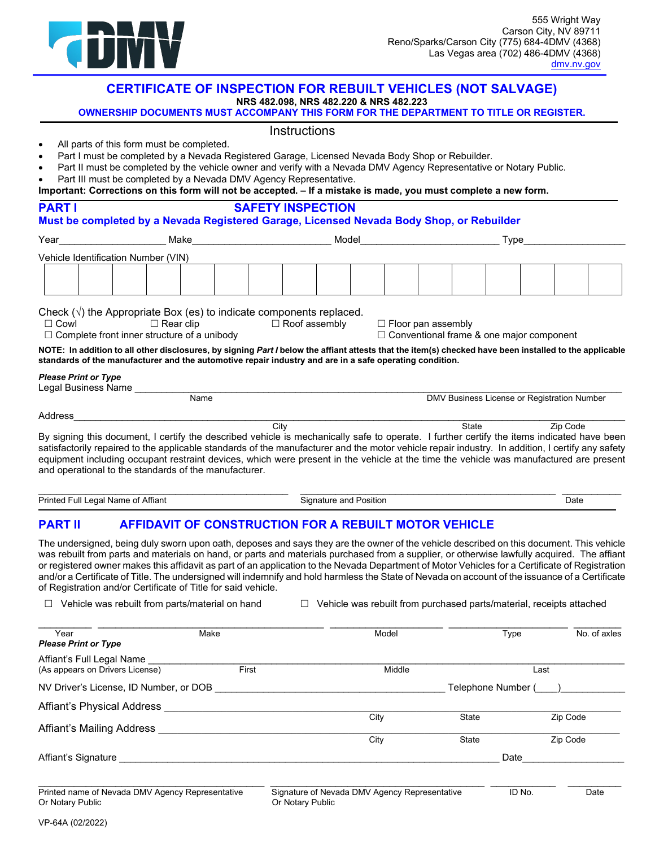

# **CERTIFICATE OF INSPECTION FOR REBUILT VEHICLES (NOT SALVAGE)**

**NRS 482.098, NRS 482.220 & NRS 482.223** 

**OWNERSHIP DOCUMENTS MUST ACCOMPANY THIS FORM FOR THE DEPARTMENT TO TITLE OR REGISTER.** 

### Instructions

- All parts of this form must be completed.
- Part I must be completed by a Nevada Registered Garage, Licensed Nevada Body Shop or Rebuilder.
- Part II must be completed by the vehicle owner and verify with a Nevada DMV Agency Representative or Notary Public.
- Part III must be completed by a Nevada DMV Agency Representative.

|  |  |  | Important: Corrections on this form will not be accepted. - If a mistake is made, you must complete a new form. |
|--|--|--|-----------------------------------------------------------------------------------------------------------------|
|--|--|--|-----------------------------------------------------------------------------------------------------------------|

| Year                                   | <b>Example 2018</b> Make 2019 and 2019 and 2019 and 2019 and 2019 and 2019 and 2019 and 2019 and 2019 and 2019 and 20  | Model                                                                                                   |                                                                              | Type                                                                                                                                                   |
|----------------------------------------|------------------------------------------------------------------------------------------------------------------------|---------------------------------------------------------------------------------------------------------|------------------------------------------------------------------------------|--------------------------------------------------------------------------------------------------------------------------------------------------------|
| Vehicle Identification Number (VIN)    |                                                                                                                        |                                                                                                         |                                                                              |                                                                                                                                                        |
|                                        |                                                                                                                        |                                                                                                         |                                                                              |                                                                                                                                                        |
|                                        |                                                                                                                        | Check $(\sqrt{ } )$ the Appropriate Box (es) to indicate components replaced.                           |                                                                              |                                                                                                                                                        |
| $\Box$ Cowl                            | $\Box$ Complete front inner structure of a unibody                                                                     | $\Box$ Rear clip $\Box$ Roof assembly                                                                   | $\Box$ Floor pan assembly<br>$\Box$ Conventional frame & one major component |                                                                                                                                                        |
|                                        |                                                                                                                        |                                                                                                         |                                                                              |                                                                                                                                                        |
|                                        |                                                                                                                        | standards of the manufacturer and the automotive repair industry and are in a safe operating condition. |                                                                              | NOTE: In addition to all other disclosures, by signing Part I below the affiant attests that the item(s) checked have been installed to the applicable |
|                                        |                                                                                                                        |                                                                                                         |                                                                              |                                                                                                                                                        |
|                                        | Please Pullus of the Control Dealer Please Pullus Dealer Please Please Please Please Please Please Please Plea<br>Name |                                                                                                         |                                                                              | DMV Business License or Registration Number                                                                                                            |
| <b>Please Print or Type</b><br>Address |                                                                                                                        |                                                                                                         |                                                                              |                                                                                                                                                        |

### Ī **PART II AFFIDAVIT OF CONSTRUCTION FOR A REBUILT MOTOR VEHICLE**

 The undersigned, being duly sworn upon oath, deposes and says they are the owner of the vehicle described on this document. This vehicle or registered owner makes this affidavit as part of an application to the Nevada Department of Motor Vehicles for a Certificate of Registration and/or a Certificate of Title. The undersigned will indemnify and hold harmless the State of Nevada on account of the issuance of a Certificate was rebuilt from parts and materials on hand, or parts and materials purchased from a supplier, or otherwise lawfully acquired. The affiant of Registration and/or Certificate of Title for said vehicle.

Printed Full Legal Name of Affiant Signature and Position Date

 $\Box$  Vehicle was rebuilt from parts/material on hand

 $\Box$  Vehicle was rebuilt from purchased parts/material, receipts attached

| Year<br><b>Please Print or Type</b>    | Make  | Model  | <b>Type</b>        | No. of axles |  |
|----------------------------------------|-------|--------|--------------------|--------------|--|
| Affiant's Full Legal Name              |       |        |                    |              |  |
| (As appears on Drivers License)        | First | Middle | Last               |              |  |
| NV Driver's License, ID Number, or DOB |       |        | Telephone Number ( |              |  |
| Affiant's Physical Address             |       |        |                    |              |  |
|                                        |       | City   | <b>State</b>       | Zip Code     |  |
| Affiant's Mailing Address              |       |        |                    |              |  |
|                                        |       | City   | <b>State</b>       | Zip Code     |  |
| Affiant's Signature                    |       |        | Date               |              |  |
|                                        |       |        |                    |              |  |
|                                        |       |        |                    |              |  |

Or Notary Public

Printed name of Nevada DMV Agency Representative Signature of Nevada DMV Agency Representative ID No. Date Or Notary Public